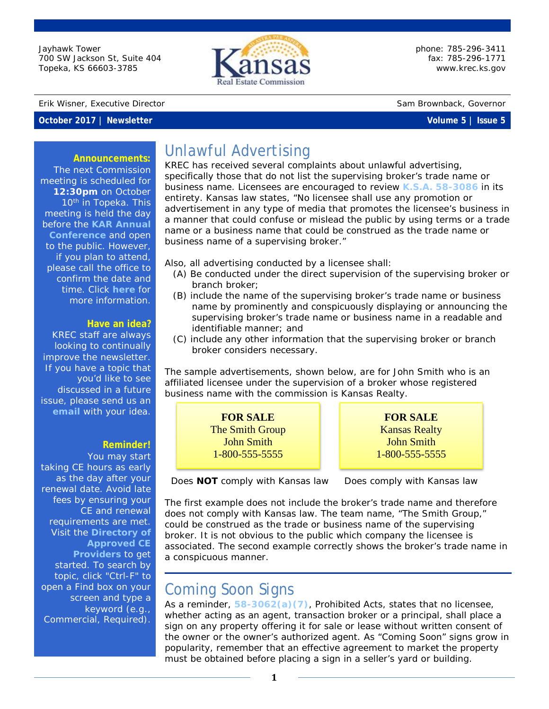Jayhawk Tower 700 SW Jackson St, Suite 404 Topeka, KS 66603-3785



phone: 785-296-3411 fax: 785-296-1771 [www.krec.ks.gov](http://www.krec.ks.gov/)

#### Erik Wisner, Executive Director Sam Brownback, Governor

### **October 2017 | Newsletter Volume 5 | Issue 5**

#### **Announcements:**

The next Commission meeting is scheduled for **12:30pm** on October 10<sup>th</sup> in Topeka. This meeting is held the day before the **KAR [Annual](https://kansasrealtor.com/events/2017-kar-annual-conference/)  [Conference](https://kansasrealtor.com/events/2017-kar-annual-conference/)** and open to the public. However, if you plan to attend, please call the office to confirm the date and time. Click **[here](http://krec.ks.gov/commission/commission-meetings)** for more information.

#### **Have an idea?**

KREC staff are always looking to continually improve the newsletter. If you have a topic that you'd like to see discussed in a future issue, please send us an **[email](mailto:amber.nutt@ks.gov?subject=Newsletter%20Idea)** with your idea.

#### **Reminder!**

You may start taking CE hours as early as the day after your renewal date. Avoid late fees by ensuring your CE and renewal requirements are met. Visit the **[Directory of](http://krec.ks.gov/licensing/continuing-education)  [Approved CE](http://krec.ks.gov/licensing/continuing-education)  [Providers](http://krec.ks.gov/licensing/continuing-education)** to get started. To search by topic, click "Ctrl-F" to open a Find box on your screen and type a keyword (e.g., Commercial, Required).

Unlawful Advertising

KREC has received several complaints about unlawful advertising, specifically those that do not list the supervising broker's trade name or business name. Licensees are encouraged to review **K.S.A. [58-3086](https://www.krec.ks.gov/docs/default-source/default-document-library/kansas-real-estate-commission-statutes-rules-and-regulations.pdf?sfvrsn=13)** in its entirety. Kansas law states, "No licensee shall use any promotion or advertisement in any type of media that promotes the licensee's business in a manner that could confuse or mislead the public by using terms or a trade name or a business name that could be construed as the trade name or business name of a supervising broker."

Also, all advertising conducted by a licensee shall:

- (A) Be conducted under the direct supervision of the supervising broker or branch broker;
- (B) include the name of the supervising broker's trade name or business name by *prominently and conspicuously* displaying or announcing the supervising broker's trade name or business name in a readable and identifiable manner; and
- (C) include any other information that the supervising broker or branch broker considers necessary.

The sample advertisements, shown below, are for John Smith who is an affiliated licensee under the supervision of a broker whose registered business name with the commission is Kansas Realty.

> **FOR SALE** The Smith Group John Smith 1-800-555-5555

**FOR SALE** Kansas Realty John Smith 1-800-555-5555

 *Does NOT comply with Kansas law Does comply with Kansas law*

The first example does not include the broker's trade name and therefore does not comply with Kansas law. The team name, "The Smith Group," could be construed as the trade or business name of the supervising broker. It is not obvious to the public which company the licensee is associated. The second example correctly shows the broker's trade name in a conspicuous manner.

## Coming Soon Signs

As a reminder, **[58-3062\(a\)\(7\)](https://www.krec.ks.gov/docs/default-source/default-document-library/kansas-real-estate-commission-statutes-rules-and-regulations.pdf?sfvrsn=13)**, *Prohibited Acts*, states that no licensee, whether acting as an agent, transaction broker or a principal, shall place a sign on any property offering it for sale or lease without written consent of the owner or the owner's authorized agent. As "Coming Soon" signs grow in popularity, remember that an effective agreement to market the property must be obtained before placing a sign in a seller's yard or building.